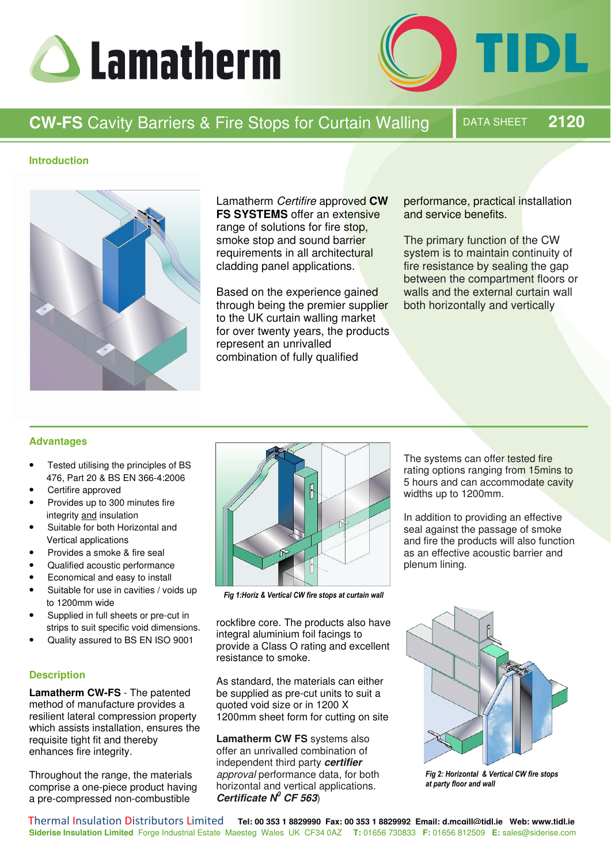



# **CW-FS** Cavity Barriers & Fire Stops for Curtain Walling  $\blacksquare$  DATA SHEET 2120

# **Introduction**



Lamatherm Certifire approved **CW FS SYSTEMS** offer an extensive range of solutions for fire stop, smoke stop and sound barrier requirements in all architectural cladding panel applications.

Based on the experience gained through being the premier supplier to the UK curtain walling market for over twenty years, the products represent an unrivalled combination of fully qualified

performance, practical installation and service benefits.

The primary function of the CW system is to maintain continuity of fire resistance by sealing the gap between the compartment floors or walls and the external curtain wall both horizontally and vertically

# **Advantages**

- Tested utilising the principles of BS 476, Part 20 & BS EN 366-4:2006
- Certifire approved
- Provides up to 300 minutes fire integrity and insulation
- Suitable for both Horizontal and Vertical applications
- Provides a smoke & fire seal
- Qualified acoustic performance
- Economical and easy to install
- Suitable for use in cavities / voids up to 1200mm wide
- Supplied in full sheets or pre-cut in strips to suit specific void dimensions.
- Quality assured to BS EN ISO 9001

# **Description**

**Lamatherm CW-FS** - The patented method of manufacture provides a resilient lateral compression property which assists installation, ensures the requisite tight fit and thereby enhances fire integrity.

Throughout the range, the materials comprise a one-piece product having a pre-compressed non-combustible



Fig 1:Horiz & Vertical CW fire stops at curtain wall

rockfibre core. The products also have integral aluminium foil facings to provide a Class O rating and excellent resistance to smoke.

As standard, the materials can either be supplied as pre-cut units to suit a quoted void size or in 1200 X 1200mm sheet form for cutting on site

**Lamatherm CW FS** systems also offer an unrivalled combination of independent third party *certifier*  approval performance data, for both horizontal and vertical applications. *Certificate N<sup>0</sup> CF 563*)

The systems can offer tested fire rating options ranging from 15mins to 5 hours and can accommodate cavity widths up to 1200mm.

In addition to providing an effective seal against the passage of smoke and fire the products will also function as an effective acoustic barrier and plenum lining.



*Fig 2: Horizontal & Vertical CW fire stops* at party floor and wall

**Siderise Insulation Limited** Forge Industrial Estate Maesteg Wales UK CF34 0AZ **T:** 01656 730833 **F:** 01656 812509 **E:** sales@siderise.com Thermal Insulation Distributors Limited **Tel: 00 353 1 8829990 Fax: 00 353 1 8829992 Email: d.mcgill@tidl.ie Web: www.tidl.ie**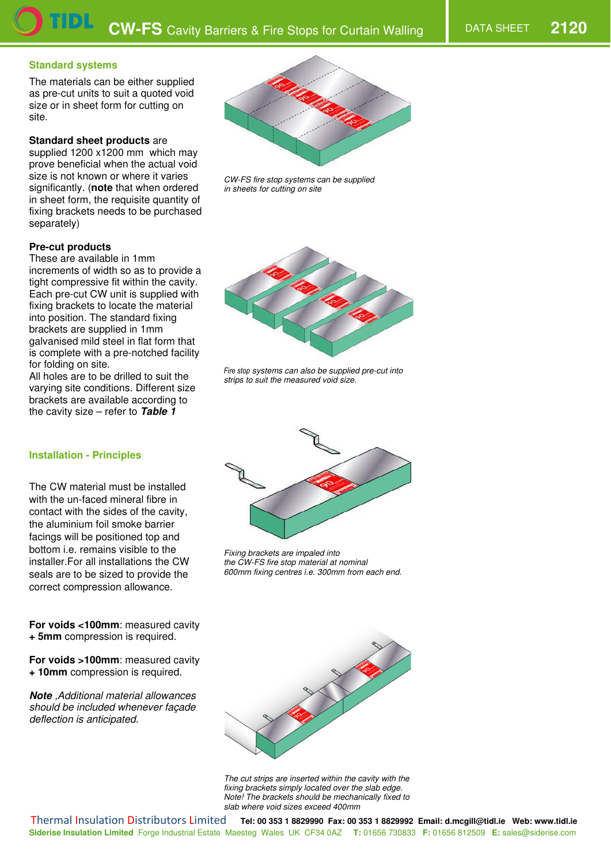#### **Standard systems**

The materials can be either supplied as pre-cut units to suit a quoted void size or in sheet form for cutting on site.

#### **Standard sheet products** are

supplied 1200 x1200 mm which may prove beneficial when the actual void size is not known or where it varies significantly. (**note** that when ordered in sheet form, the requisite quantity of fixing brackets needs to be purchased separately)

# **Pre-cut products**

These are available in 1mm increments of width so as to provide a tight compressive fit within the cavity. Each pre-cut CW unit is supplied with fixing brackets to locate the material into position. The standard fixing brackets are supplied in 1mm galvanised mild steel in flat form that is complete with a pre-notched facility for folding on site.

All holes are to be drilled to suit the varying site conditions. Different size brackets are available according to the cavity size – refer to *Table 1*

# **Installation - Principles**

The CW material must be installed with the un-faced mineral fibre in contact with the sides of the cavity, the aluminium foil smoke barrier facings will be positioned top and bottom i.e. remains visible to the installer.For all installations the CW seals are to be sized to provide the correct compression allowance.

**For voids <100mm**: measured cavity **+ 5mm** compression is required.

**For voids >100mm**: measured cavity **+ 10mm** compression is required.

*Note* ,Additional material allowances should be included whenever façade deflection is anticipated.



CW-FS fire stop systems can be supplied in sheets for cutting on site



Fire stop systems can also be supplied pre-cut into strips to suit the measured void size.



Fixing brackets are impaled into the CW-FS fire stop material at nominal 600mm fixing centres i.e. 300mm from each end.



The cut strips are inserted within the cavity with the fixing brackets simply located over the slab edge. Note! The brackets should be mechanically fixed to slab where void sizes exceed 400mm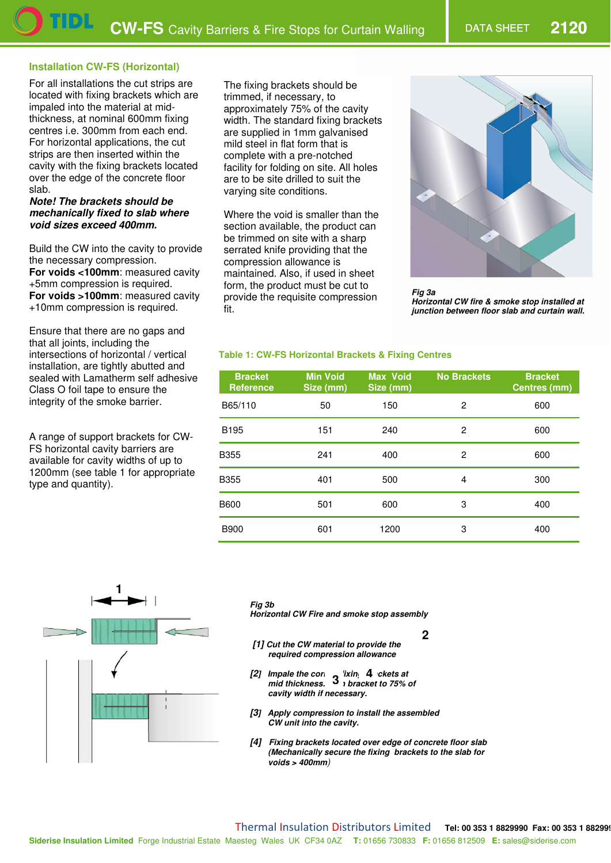# **Installation CW-FS (Horizontal)**

For all installations the cut strips are located with fixing brackets which are impaled into the material at midthickness, at nominal 600mm fixing centres i.e. 300mm from each end. For horizontal applications, the cut strips are then inserted within the cavity with the fixing brackets located over the edge of the concrete floor slab.

#### *Note! The brackets should be mechanically fixed to slab where void sizes exceed 400mm.*

Build the CW into the cavity to provide the necessary compression. **For voids <100mm**: measured cavity +5mm compression is required. **For voids >100mm**: measured cavity +10mm compression is required.

Ensure that there are no gaps and that all joints, including the intersections of horizontal / vertical installation, are tightly abutted and sealed with Lamatherm self adhesive Class O foil tape to ensure the integrity of the smoke barrier.

A range of support brackets for CW-FS horizontal cavity barriers are available for cavity widths of up to 1200mm (see table 1 for appropriate type and quantity).

The fixing brackets should be trimmed, if necessary, to approximately 75% of the cavity width. The standard fixing brackets are supplied in 1mm galvanised mild steel in flat form that is complete with a pre-notched facility for folding on site. All holes are to be site drilled to suit the varying site conditions.

Where the void is smaller than the section available, the product can be trimmed on site with a sharp serrated knife providing that the compression allowance is maintained. Also, if used in sheet form, the product must be cut to provide the requisite compression fit.



*Fig 3a Horizontal CW fire & smoke stop installed at junction between floor slab and curtain wall.* 

#### **Table 1: CW-FS Horizontal Brackets & Fixing Centres**

| <b>Bracket</b><br><b>Reference</b> | <b>Min Void</b><br>Size (mm) | <b>Max Void</b><br>Size (mm) | <b>No Brackets</b> | <b>Bracket</b><br><b>Centres (mm)</b> |
|------------------------------------|------------------------------|------------------------------|--------------------|---------------------------------------|
| B65/110                            | 50                           | 150                          | 2                  | 600                                   |
| B <sub>195</sub>                   | 151                          | 240                          | 2                  | 600                                   |
| <b>B355</b>                        | 241                          | 400                          | 2                  | 600                                   |
| <b>B355</b>                        | 401                          | 500                          | 4                  | 300                                   |
| <b>B600</b>                        | 501                          | 600                          | 3                  | 400                                   |
| <b>B900</b>                        | 601                          | 1200                         | 3                  | 400                                   |

**2**



*Fig 3b* 

*Horizontal CW Fire and smoke stop assembly* 

- *[1] Cut the CW material to provide the required compression allowance*
- *[2]* Impale the correct *n* ixing 4 ckets at *Particulary 1 mid thickness.* **3** *i bracket to 75% of cavity width if necessary.*
- *[3] Apply compression to install the assembled CW unit into the cavity.*
- *[4] Fixing brackets located over edge of concrete floor slab (Mechanically secure the fixing brackets to the slab for voids > 400mm*)

**Siderise Insulation Limited** Forge Industrial Estate Maesteg Wales UK CF34 0AZ **T:** 01656 730833 **F:** 01656 812509 **E:** sales@siderise.com Thermal Insulation Distributors Limited **Tel: 00 353 1 8829990 Fax: 00 353 1 882999**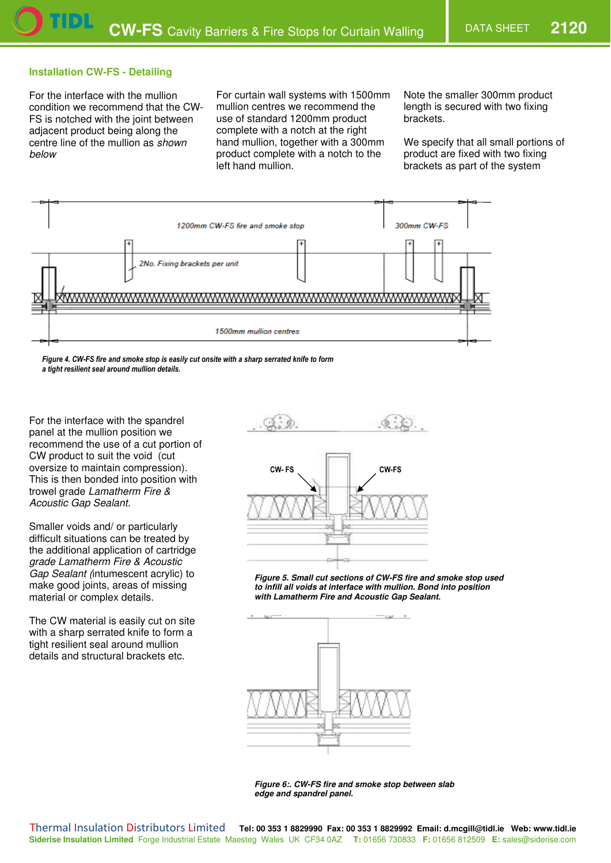# **Installation CW-FS - Detailing**

For the interface with the mullion condition we recommend that the CW-FS is notched with the joint between adjacent product being along the centre line of the mullion as shown below

For curtain wall systems with 1500mm mullion centres we recommend the use of standard 1200mm product complete with a notch at the right hand mullion, together with a 300mm product complete with a notch to the left hand mullion.

Note the smaller 300mm product length is secured with two fixing brackets.

We specify that all small portions of product are fixed with two fixing brackets as part of the system



Figure 4. CW-FS fire and smoke stop is easily cut onsite with a sharp serrated knife to form

a tight resilient seal around mullion details.

For the interface with the spandrel panel at the mullion position we recommend the use of a cut portion of CW product to suit the void (cut oversize to maintain compression). This is then bonded into position with trowel grade Lamatherm Fire & Acoustic Gap Sealant.

Smaller voids and/ or particularly difficult situations can be treated by the additional application of cartridge grade Lamatherm Fire & Acoustic Gap Sealant (intumescent acrylic) to make good joints, areas of missing material or complex details.

The CW material is easily cut on site with a sharp serrated knife to form a tight resilient seal around mullion details and structural brackets etc.



*Figure 5. Small cut sections of CW-FS fire and smoke stop used to infill all voids at interface with mullion. Bond into position with Lamatherm Fire and Acoustic Gap Sealant.* 



*Figure 6:. CW-FS fire and smoke stop between slab edge and spandrel panel.*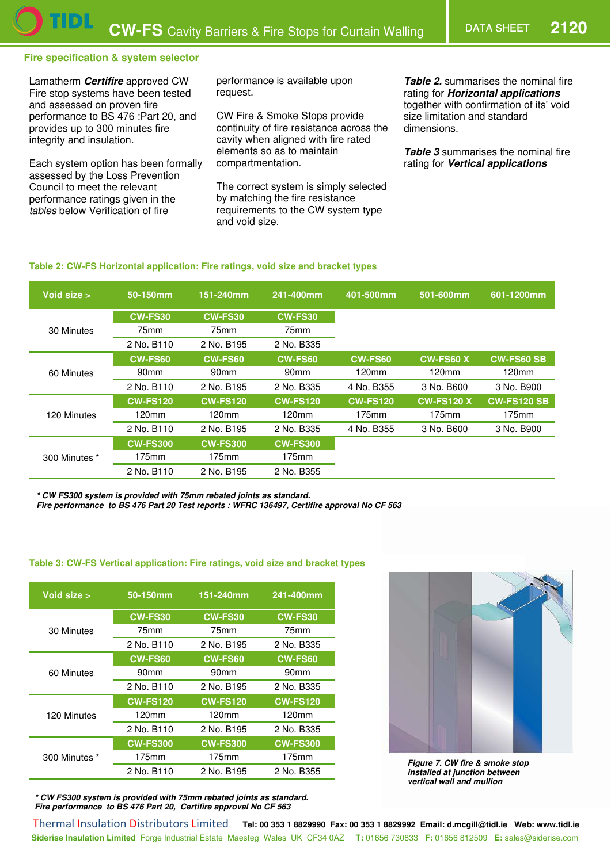# **Fire specification & system selector**

Lamatherm *Certifire* approved CW Fire stop systems have been tested and assessed on proven fire performance to BS 476 :Part 20, and provides up to 300 minutes fire integrity and insulation.

Each system option has been formally assessed by the Loss Prevention Council to meet the relevant performance ratings given in the tables below Verification of fire

performance is available upon request.

CW Fire & Smoke Stops provide continuity of fire resistance across the cavity when aligned with fire rated elements so as to maintain compartmentation.

The correct system is simply selected by matching the fire resistance requirements to the CW system type and void size.

**Table 2.** summarises the nominal fire rating for *Horizontal applications* together with confirmation of its' void size limitation and standard dimensions.

*Table 3* summarises the nominal fire rating for *Vertical applications*

### **Table 2: CW-FS Horizontal application: Fire ratings, void size and bracket types**

| Void size $>$ | 50-150mm         | 151-240mm        | 241-400mm        | 401-500mm         | 501-600mm         | 601-1200mm         |
|---------------|------------------|------------------|------------------|-------------------|-------------------|--------------------|
|               | <b>CW-FS30</b>   | <b>CW-FS30</b>   | <b>CW-FS30</b>   |                   |                   |                    |
| 30 Minutes    | 75 <sub>mm</sub> | 75mm             | 75 <sub>mm</sub> |                   |                   |                    |
|               | 2 No. B110       | 2 No. B195       | 2 No. B335       |                   |                   |                    |
| 60 Minutes    | <b>CW-FS60</b>   | <b>CW-FS60</b>   | <b>CW-FS60</b>   | <b>CW-FS60</b>    | <b>CW-FS60 X</b>  | <b>CW-FS60 SB</b>  |
|               | 90 <sub>mm</sub> | 90 <sub>mm</sub> | 90 <sub>mm</sub> | 120 <sub>mm</sub> | 120mm             | 120 <sub>mm</sub>  |
|               | 2 No. B110       | 2 No. B195       | 2 No. B335       | 4 No. B355        | 3 No. B600        | 3 No. B900         |
| 120 Minutes   | <b>CW-FS120</b>  | <b>CW-FS120</b>  | <b>CW-FS120</b>  | <b>CW-FS120</b>   | <b>CW-FS120 X</b> | <b>CW-FS120 SB</b> |
|               | 120mm            | 120mm            | 120mm            | 175mm             | 175mm             | 175mm              |
|               | 2 No. B110       | 2 No. B195       | 2 No. B335       | 4 No. B355        | 3 No. B600        | 3 No. B900         |
| 300 Minutes * | <b>CW-FS300</b>  | <b>CW-FS300</b>  | <b>CW-FS300</b>  |                   |                   |                    |
|               | 175mm            | 175mm            | 175mm            |                   |                   |                    |
|               | 2 No. B110       | 2 No. B195       | 2 No. B355       |                   |                   |                    |

*\* CW FS300 system is provided with 75mm rebated joints as standard.* 

*Fire performance to BS 476 Part 20 Test reports : WFRC 136497, Certifire approval No CF 563* 

#### **Table 3: CW-FS Vertical application: Fire ratings, void size and bracket types**

| Void size >   | 50-150mm         | 151-240mm        | 241-400mm        |
|---------------|------------------|------------------|------------------|
|               | <b>CW-FS30</b>   | <b>CW-FS30</b>   | <b>CW-FS30</b>   |
| 30 Minutes    | 75mm             | 75mm             | 75mm             |
|               | 2 No. B110       | 2 No. B195       | 2 No. B335       |
|               | <b>CW-FS60</b>   | <b>CW-FS60</b>   | <b>CW-FS60</b>   |
| 60 Minutes    | 90 <sub>mm</sub> | 90 <sub>mm</sub> | 90 <sub>mm</sub> |
|               | 2 No. B110       | 2 No. B195       | 2 No. B335       |
|               | <b>CW-FS120</b>  | <b>CW-FS120</b>  | <b>CW-FS120</b>  |
| 120 Minutes   | 120mm            | 120mm            | 120mm            |
|               | 2 No. B110       | 2 No. B195       | 2 No. B335       |
|               | <b>CW-FS300</b>  | <b>CW-FS300</b>  | <b>CW-FS300</b>  |
| 300 Minutes * | 175mm            | 175mm            | 175mm            |
|               | 2 No. B110       | 2 No. B195       | 2 No. B355       |

*\* CW FS300 system is provided with 75mm rebated joints as standard. Fire performance to BS 476 Part 20, Certifire approval No CF 563* 



*Figure 7. CW fire & smoke stop installed at junction between vertical wall and mullion* 

Siderise Insulation Limited Forge Industrial Estate Maesteg Wales UK CF34 0AZ T: 01656 730833 F: 01656 812509 E: sales@siderise.com Thermal Insulation Distributors Limited **Tel: 00 353 1 8829990 Fax: 00 353 1 8829992 Email: d.mcgill@tidl.ie Web: www.tidl.ie**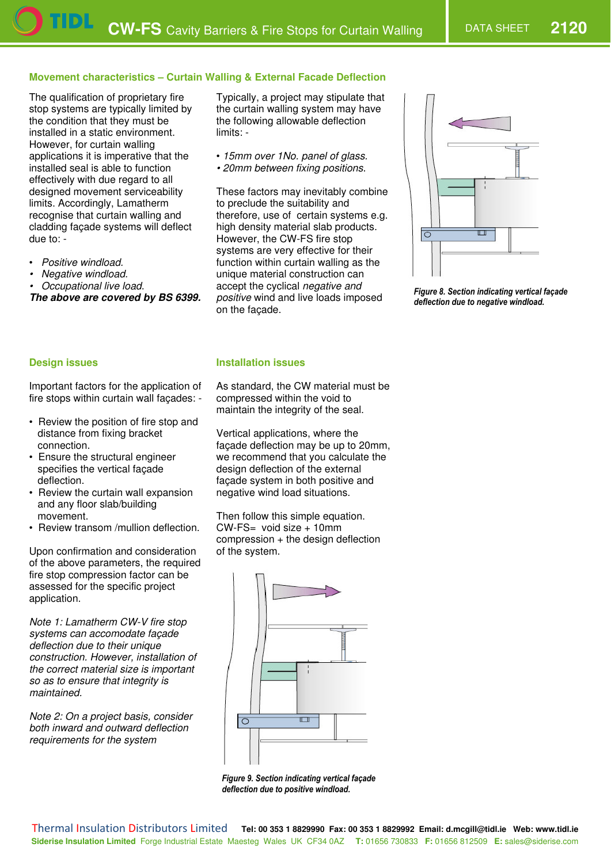# **Movement characteristics – Curtain Walling & External Facade Deflection**

The qualification of proprietary fire stop systems are typically limited by the condition that they must be installed in a static environment. However, for curtain walling applications it is imperative that the installed seal is able to function effectively with due regard to all designed movement serviceability limits. Accordingly, Lamatherm recognise that curtain walling and cladding façade systems will deflect due to: -

- Positive windload.
- Negative windload.
- Occupational live load.

*The above are covered by BS 6399.*

Typically, a project may stipulate that the curtain walling system may have the following allowable deflection limits: -

- 15mm over 1No. panel of glass.
- 20mm between fixing positions.

These factors may inevitably combine to preclude the suitability and therefore, use of certain systems e.g. high density material slab products. However, the CW-FS fire stop systems are very effective for their function within curtain walling as the unique material construction can accept the cyclical negative and positive wind and live loads imposed on the façade.



**Figure 8. Section indicating vertical façade** deflection due to negative windload.

### **Design issues**

Important factors for the application of fire stops within curtain wall façades: -

- Review the position of fire stop and distance from fixing bracket connection.
- Ensure the structural engineer specifies the vertical façade deflection.
- Review the curtain wall expansion and any floor slab/building movement.
- Review transom /mullion deflection.

Upon confirmation and consideration of the above parameters, the required fire stop compression factor can be assessed for the specific project application.

Note 1: Lamatherm CW-V fire stop systems can accomodate façade deflection due to their unique construction. However, installation of the correct material size is important so as to ensure that integrity is maintained.

Note 2: On a project basis, consider both inward and outward deflection requirements for the system



As standard, the CW material must be compressed within the void to maintain the integrity of the seal.

Vertical applications, where the façade deflection may be up to 20mm, we recommend that you calculate the design deflection of the external façade system in both positive and negative wind load situations.

Then follow this simple equation.  $CW\text{-}FS=$  void size  $+10$ mm compression + the design deflection of the system.



Figure 9. Section indicating vertical façade deflection due to positive windload.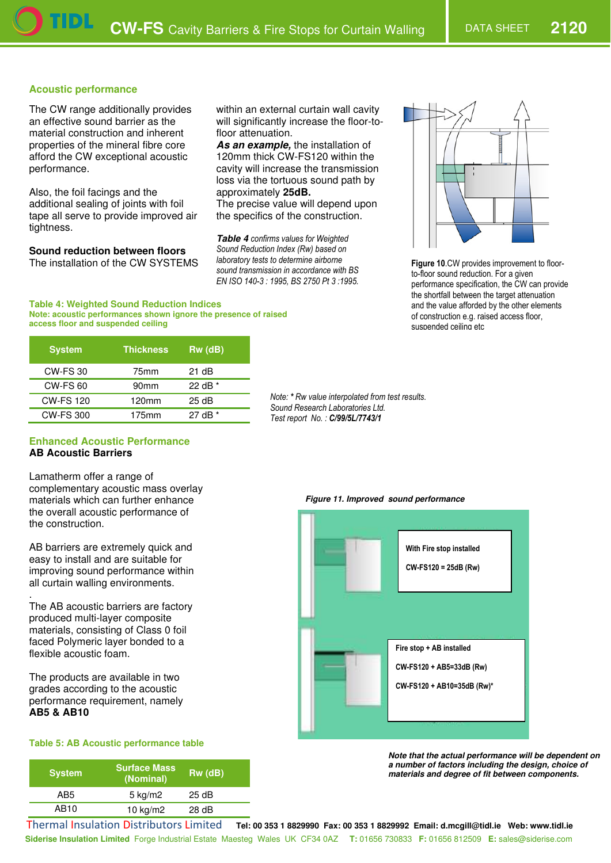# **Acoustic performance**

The CW range additionally provides an effective sound barrier as the material construction and inherent properties of the mineral fibre core afford the CW exceptional acoustic performance.

Also, the foil facings and the additional sealing of joints with foil tape all serve to provide improved air tightness.

**Sound reduction between floors** 

The installation of the CW SYSTEMS

120mm thick CW-FS120 within the cavity will increase the transmission loss via the tortuous sound path by

floor attenuation.

approximately **25dB.** 

The precise value will depend upon the specifics of the construction.

within an external curtain wall cavity will significantly increase the floor-to-

*As an example,* the installation of

**Table 4** confirms values for Weighted Sound Reduction Index (Rw) based on laboratory tests to determine airborne sound transmission in accordance with BS *EN ISO 140-3 : 1995, BS 2750 Pt 3 :1995.* 



**Figure 10.CW** provides improvement to floorto-floor sound reduction. For a given performance specification, the CW can provide the shortfall between the target attenuation and the value afforded by the other elements of construction e.g. raised access floor, suspended ceilina etc

**Table 4: Weighted Sound Reduction Indices Note: acoustic performances shown ignore the presence of raised access floor and suspended ceiling**

| <b>System</b>    | <b>Thickness</b> | $Rw$ ( $dB$ ) |
|------------------|------------------|---------------|
| <b>CW-FS30</b>   | 75mm             | 21 dB         |
| <b>CW-FS 60</b>  | 90 <sub>mm</sub> | 22 dB $*$     |
| <b>CW-FS 120</b> | 120mm            | 25 dB         |
| CW-FS 300        | 175mm            | 27 dB *       |

**Sound Research Laboratories Ltd.** Test report No.: C/99/5L/7743/1

Note: \* Rw value interpolated from test results.

#### **Enhanced Acoustic Performance AB Acoustic Barriers**

Lamatherm offer a range of complementary acoustic mass overlay materials which can further enhance the overall acoustic performance of the construction.

AB barriers are extremely quick and easy to install and are suitable for improving sound performance within all curtain walling environments.

. The AB acoustic barriers are factory produced multi-layer composite materials, consisting of Class 0 foil faced Polymeric layer bonded to a flexible acoustic foam.

The products are available in two grades according to the acoustic performance requirement, namely **AB5 & AB10**

# **Table 5: AB Acoustic performance table**

| <b>System</b> | <b>Surface Mass</b><br>(Nominal) | $Rw$ ( $dB$ ) |
|---------------|----------------------------------|---------------|
| AB5           | $5 \text{ kg/m2}$                | 25 dB         |
| AB10          | 10 $kg/m2$                       | 28 dB         |

#### *Figure 11. Improved sound performance*



*Note that the actual performance will be dependent on a number of factors including the design, choice of materials and degree of fit between components.* 

**Siderise Insulation Limited** Forge Industrial Estate Maesteg Wales UK CF34 0AZ **T:** 01656 730833 **F:** 01656 812509 **E:** sales@siderise.com Thermal Insulation Distributors Limited **Tel: 00 353 1 8829990 Fax: 00 353 1 8829992 Email: d.mcgill@tidl.ie Web: www.tidl.ie**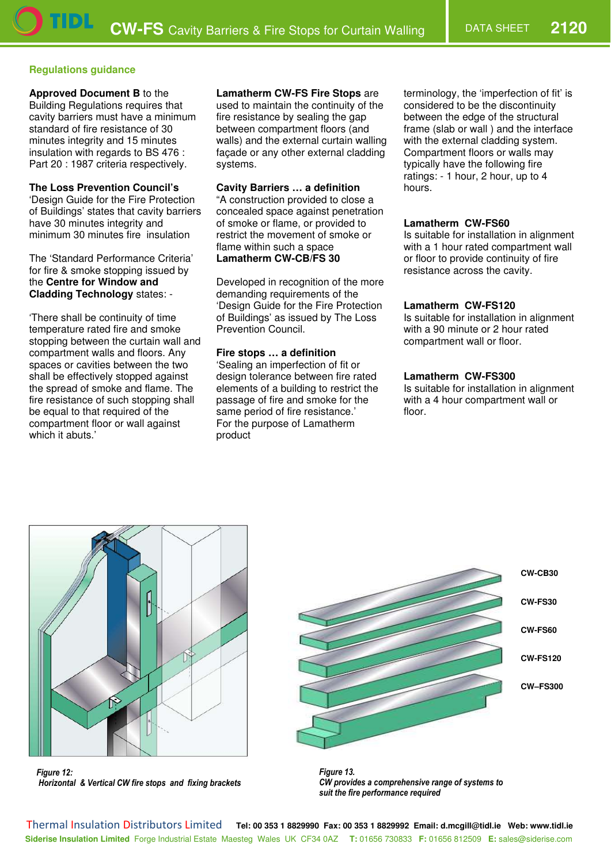# **Regulations guidance**

#### **Approved Document B** to the

Building Regulations requires that cavity barriers must have a minimum standard of fire resistance of 30 minutes integrity and 15 minutes insulation with regards to BS 476 : Part 20 : 1987 criteria respectively.

### **The Loss Prevention Council's**

'Design Guide for the Fire Protection of Buildings' states that cavity barriers have 30 minutes integrity and minimum 30 minutes fire insulation

The 'Standard Performance Criteria' for fire & smoke stopping issued by the **Centre for Window and Cladding Technology** states: -

'There shall be continuity of time temperature rated fire and smoke stopping between the curtain wall and compartment walls and floors. Any spaces or cavities between the two shall be effectively stopped against the spread of smoke and flame. The fire resistance of such stopping shall be equal to that required of the compartment floor or wall against which it abuts.'

# **Lamatherm CW-FS Fire Stops** are

used to maintain the continuity of the fire resistance by sealing the gap between compartment floors (and walls) and the external curtain walling façade or any other external cladding systems.

# **Cavity Barriers … a definition**

"A construction provided to close a concealed space against penetration of smoke or flame, or provided to restrict the movement of smoke or flame within such a space **Lamatherm CW-CB/FS 30** 

Developed in recognition of the more demanding requirements of the 'Design Guide for the Fire Protection of Buildings' as issued by The Loss Prevention Council.

### **Fire stops … a definition**

'Sealing an imperfection of fit or design tolerance between fire rated elements of a building to restrict the passage of fire and smoke for the same period of fire resistance.' For the purpose of Lamatherm product

terminology, the 'imperfection of fit' is considered to be the discontinuity between the edge of the structural frame (slab or wall ) and the interface with the external cladding system. Compartment floors or walls may typically have the following fire ratings: - 1 hour, 2 hour, up to 4 hours.

### **Lamatherm CW-FS60**

Is suitable for installation in alignment with a 1 hour rated compartment wall or floor to provide continuity of fire resistance across the cavity.

### **Lamatherm CW-FS120**

Is suitable for installation in alignment with a 90 minute or 2 hour rated compartment wall or floor.

### **Lamatherm CW-FS300**

Is suitable for installation in alignment with a 4 hour compartment wall or floor.



**Figure 12:** *Horizontal & Vertical CW fire stops and fixing brackets* 



**Figure 13.** CW provides a comprehensive range of systems to suit the fire performance required

**Siderise Insulation Limited** Forge Industrial Estate Maesteg Wales UK CF34 0AZ **T:** 01656 730833 **F:** 01656 812509 **E:** sales@siderise.com Thermal Insulation Distributors Limited **Tel: 00 353 1 8829990 Fax: 00 353 1 8829992 Email: d.mcgill@tidl.ie Web: www.tidl.ie**